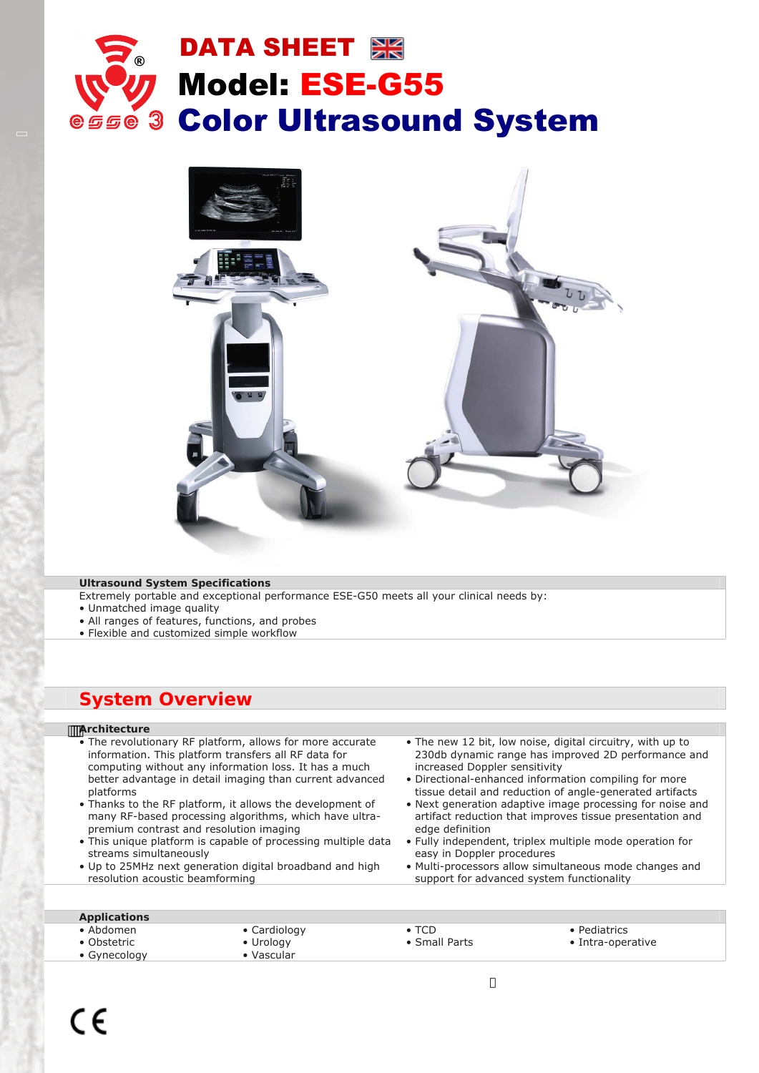



# **Ultrasound System Specifications**

Extremely portable and exceptional performance ESE-G50 meets all your clinical needs by:

- Unmatched image quality
- All ranges of features, functions, and probes
- Flexible and customized simple workflow

# **System Overview**

#### **Architecture**   $\mathbb{Z}$

- The revolutionary RF platform, allows for more accurate information. This platform transfers all RF data for computing without any information loss. It has a much better advantage in detail imaging than current advanced platforms
- Thanks to the RF platform, it allows the development of many RF-based processing algorithms, which have ultrapremium contrast and resolution imaging
- This unique platform is capable of processing multiple data streams simultaneously
- Up to 25MHz next generation digital broadband and high resolution acoustic beamforming
- The new 12 bit, low noise, digital circuitry, with up to 230db dynamic range has improved 2D performance and increased Doppler sensitivity
- Directional-enhanced information compiling for more tissue detail and reduction of angle-generated artifacts
- Next generation adaptive image processing for noise and artifact reduction that improves tissue presentation and edge definition
- Fully independent, triplex multiple mode operation for easy in Doppler procedures
- Multi-processors allow simultaneous mode changes and support for advanced system functionality

# **Applications**

- Abdomen
- Cardiology
- Obstetric • Gynecology
- Urology
- Vascular
- TCD
- ICD<br>• Small Parts

- Pediatrics
- Intra-operative

 $C \in$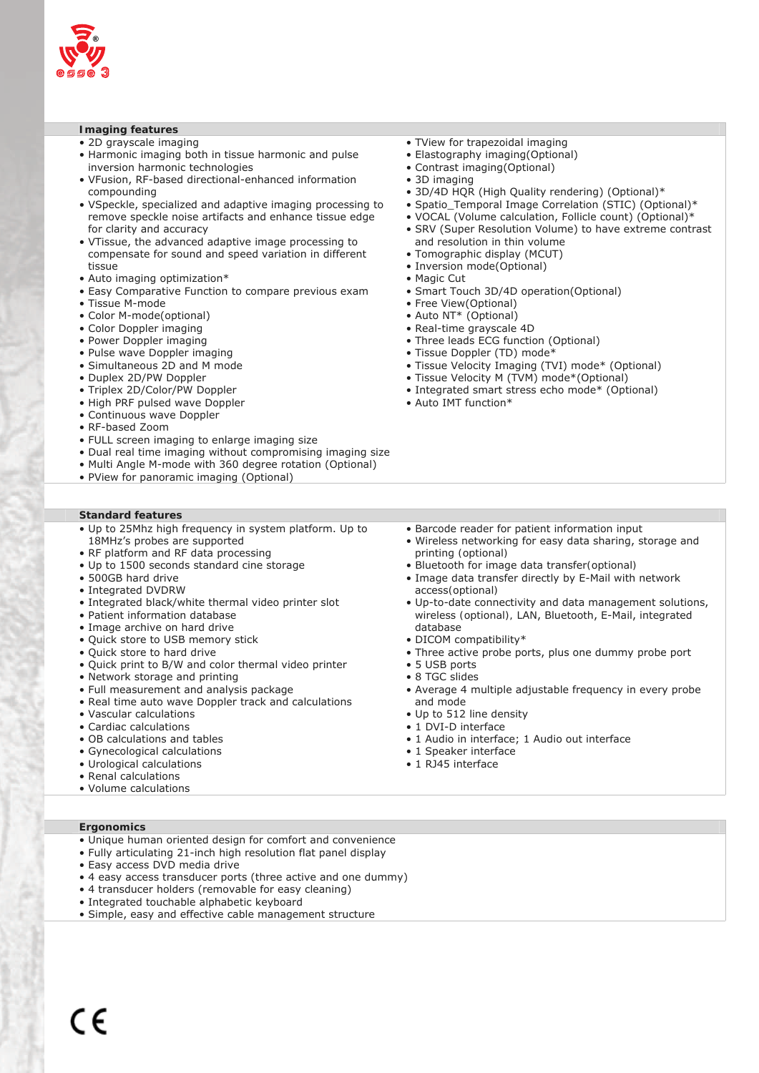

# **Imaging features**

- 2D grayscale imaging
- Harmonic imaging both in tissue harmonic and pulse inversion harmonic technologies
- VFusion, RF-based directional-enhanced information compounding
- VSpeckle, specialized and adaptive imaging processing to remove speckle noise artifacts and enhance tissue edge for clarity and accuracy
- VTissue, the advanced adaptive image processing to compensate for sound and speed variation in different tissue
- Auto imaging optimization\*
- Easy Comparative Function to compare previous exam
- Tissue M-mode
- Color M-mode(optional)
- Color Doppler imaging
- Power Doppler imaging
- Pulse wave Doppler imaging
- Simultaneous 2D and M mode
- Duplex 2D/PW Doppler
- Triplex 2D/Color/PW Doppler
- High PRF pulsed wave Doppler
- Continuous wave Doppler
- RF-based Zoom
- FULL screen imaging to enlarge imaging size
- Dual real time imaging without compromising imaging size
- Multi Angle M-mode with 360 degree rotation (Optional)
- PView for panoramic imaging (Optional)
- **Standard features**
- Up to 25Mhz high frequency in system platform. Up to 18MHz's probes are supported
- RF platform and RF data processing
- Up to 1500 seconds standard cine storage
- 500GB hard drive
- Integrated DVDRW
- Integrated black/white thermal video printer slot
- Patient information database
- Image archive on hard drive
- Quick store to USB memory stick
- Quick store to hard drive
- Quick print to B/W and color thermal video printer
- Network storage and printing
- Full measurement and analysis package
- Real time auto wave Doppler track and calculations
- Vascular calculations
- Cardiac calculations
- OB calculations and tables
- Gynecological calculations
- Urological calculations
- Renal calculations
- Volume calculations
- TView for trapezoidal imaging
- Elastography imaging(Optional)
- Contrast imaging(Optional)
- 3D imaging
- 3D/4D HQR (High Quality rendering) (Optional)\*
- Spatio Temporal Image Correlation (STIC) (Optional)\*
- VOCAL (Volume calculation, Follicle count) (Optional)\*
- SRV (Super Resolution Volume) to have extreme contrast and resolution in thin volume
- Tomographic display (MCUT)
- Inversion mode(Optional)
- Magic Cut
- Smart Touch 3D/4D operation(Optional)
- Free View(Optional)
- Auto NT\* (Optional)
- Real-time grayscale 4D
- Three leads ECG function (Optional)
- Tissue Doppler (TD) mode\*
- Tissue Velocity Imaging (TVI) mode\* (Optional)
- Tissue Velocity M (TVM) mode\*(Optional)
- Integrated smart stress echo mode\* (Optional)
- Auto IMT function\*

- Barcode reader for patient information input
- Wireless networking for easy data sharing, storage and printing *(optional)*
- Bluetooth for image data transfer*(optional)*
- Image data transfer directly by E-Mail with network access*(optional)*
- Up-to-date connectivity and data management solutions, wireless *(optional),* LAN, Bluetooth, E-Mail, integrated database
- DICOM compatibility\*
- Three active probe ports, plus one dummy probe port
- 5 USB ports
- 8 TGC slides
- Average 4 multiple adjustable frequency in every probe and mode
- Up to 512 line density
- 1 DVI-D interface
- 1 Audio in interface; 1 Audio out interface
- 1 Speaker interface
- 1 RJ45 interface

- Unique human oriented design for comfort and convenience
- Fully articulating 21-inch high resolution flat panel display
- Easy access DVD media drive
- 4 easy access transducer ports (three active and one dummy)
- 4 transducer holders (removable for easy cleaning)
- Integrated touchable alphabetic keyboard
- Simple, easy and effective cable management structure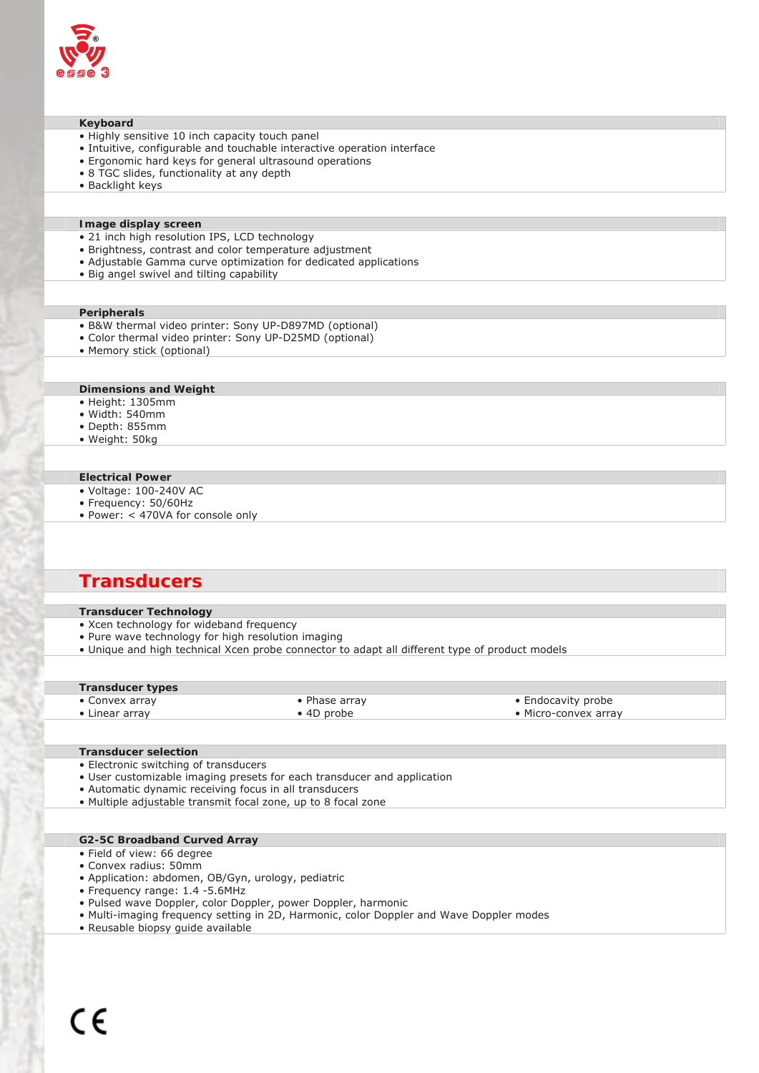

#### **Keyboard**

- Highly sensitive 10 inch capacity touch panel
- Intuitive, configurable and touchable interactive operation interface
- Ergonomic hard keys for general ultrasound operations
- 8 TGC slides, functionality at any depth
- Backlight keys

# **Image display screen**

- 21 inch high resolution IPS, LCD technology
- Brightness, contrast and color temperature adjustment
- Adjustable Gamma curve optimization for dedicated applications
- Big angel swivel and tilting capability

#### **Peripherals**

- B&W thermal video printer: Sony UP-D897MD (optional)
- Color thermal video printer: Sony UP-D25MD (optional)
- Memory stick (optional)

#### **Dimensions and Weight**

- Height: 1305mm
- Width: 540mm
- Depth: 855mm
- Weight: 50kg

#### **Electrical Power**

- Voltage: 100-240V AC
- Frequency: 50/60Hz
- Power: < 470VA for console only

# **Transducers**

#### **Transducer Technology**

- Xcen technology for wideband frequency
- Pure wave technology for high resolution imaging
- Unique and high technical Xcen probe connector to adapt all different type of product models

| <b>Transducer types</b> |                    |                      |  |
|-------------------------|--------------------|----------------------|--|
| • Convex array          | • Phase array      | • Endocavity probe   |  |
| • Linear array          | $\bullet$ 4D probe | • Micro-convex array |  |

# **Transducer selection**

- Electronic switching of transducers
- User customizable imaging presets for each transducer and application
- Automatic dynamic receiving focus in all transducers
- Multiple adjustable transmit focal zone, up to 8 focal zone

# **G2-5C Broadband Curved Array**

- Field of view: 66 degree
- Convex radius: 50mm
- Application: abdomen, OB/Gyn, urology, pediatric
- Frequency range: 1.4 -5.6MHz
- Pulsed wave Doppler, color Doppler, power Doppler, harmonic
- Multi-imaging frequency setting in 2D, Harmonic, color Doppler and Wave Doppler modes
- Reusable biopsy guide available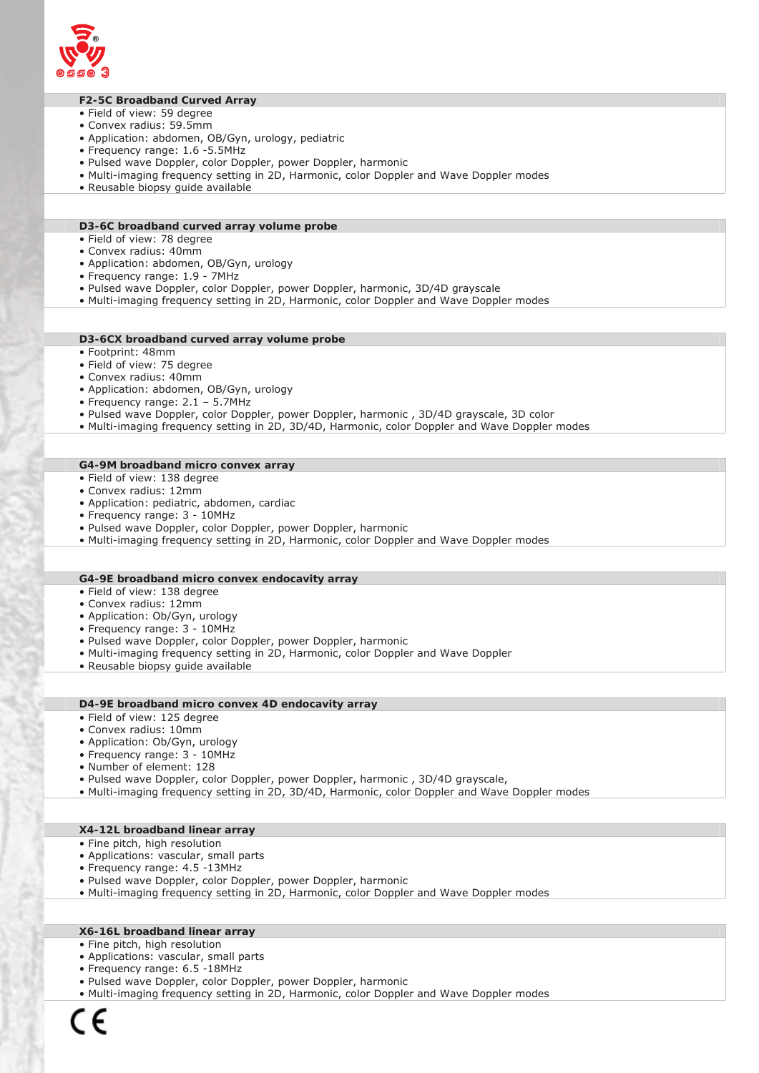

# **F2-5C Broadband Curved Array**

- Field of view: 59 degree
- Convex radius: 59.5mm
- Application: abdomen, OB/Gyn, urology, pediatric
- Frequency range: 1.6 -5.5MHz
- Pulsed wave Doppler, color Doppler, power Doppler, harmonic
- Multi-imaging frequency setting in 2D, Harmonic, color Doppler and Wave Doppler modes
- Reusable biopsy guide available

### **D3-6C broadband curved array volume probe**

- Field of view: 78 degree
- Convex radius: 40mm
- Application: abdomen, OB/Gyn, urology
- Frequency range: 1.9 7MHz
- Pulsed wave Doppler, color Doppler, power Doppler, harmonic, 3D/4D grayscale
- Multi-imaging frequency setting in 2D, Harmonic, color Doppler and Wave Doppler modes

### **D3-6CX broadband curved array volume probe**

- Footprint: 48mm
- Field of view: 75 degree
- Convex radius: 40mm
- Application: abdomen, OB/Gyn, urology
- Frequency range: 2.1 5.7MHz
- Pulsed wave Doppler, color Doppler, power Doppler, harmonic , 3D/4D grayscale, 3D color
- Multi-imaging frequency setting in 2D, 3D/4D, Harmonic, color Doppler and Wave Doppler modes

#### **G4-9M broadband micro convex array**

- Field of view: 138 degree
- Convex radius: 12mm
- Application: pediatric, abdomen, cardiac
- Frequency range: 3 10MHz
- Pulsed wave Doppler, color Doppler, power Doppler, harmonic
- Multi-imaging frequency setting in 2D, Harmonic, color Doppler and Wave Doppler modes

# **G4-9E broadband micro convex endocavity array**

- Field of view: 138 degree
- Convex radius: 12mm
- Application: Ob/Gyn, urology
- Frequency range: 3 10MHz
- Pulsed wave Doppler, color Doppler, power Doppler, harmonic
- Multi-imaging frequency setting in 2D, Harmonic, color Doppler and Wave Doppler
- Reusable biopsy guide available

# **D4-9E broadband micro convex 4D endocavity array**

- Field of view: 125 degree
- Convex radius: 10mm
- Application: Ob/Gyn, urology
- Frequency range: 3 10MHz
- Number of element: 128
- Pulsed wave Doppler, color Doppler, power Doppler, harmonic , 3D/4D grayscale,
- Multi-imaging frequency setting in 2D, 3D/4D, Harmonic, color Doppler and Wave Doppler modes

#### **X4-12L broadband linear array**

- Fine pitch, high resolution
- Applications: vascular, small parts
- Frequency range: 4.5 -13MHz
- Pulsed wave Doppler, color Doppler, power Doppler, harmonic
- Multi-imaging frequency setting in 2D, Harmonic, color Doppler and Wave Doppler modes

# **X6-16L broadband linear array**

- Fine pitch, high resolution
- Applications: vascular, small parts
- Frequency range: 6.5 -18MHz
- Pulsed wave Doppler, color Doppler, power Doppler, harmonic
- Multi-imaging frequency setting in 2D, Harmonic, color Doppler and Wave Doppler modes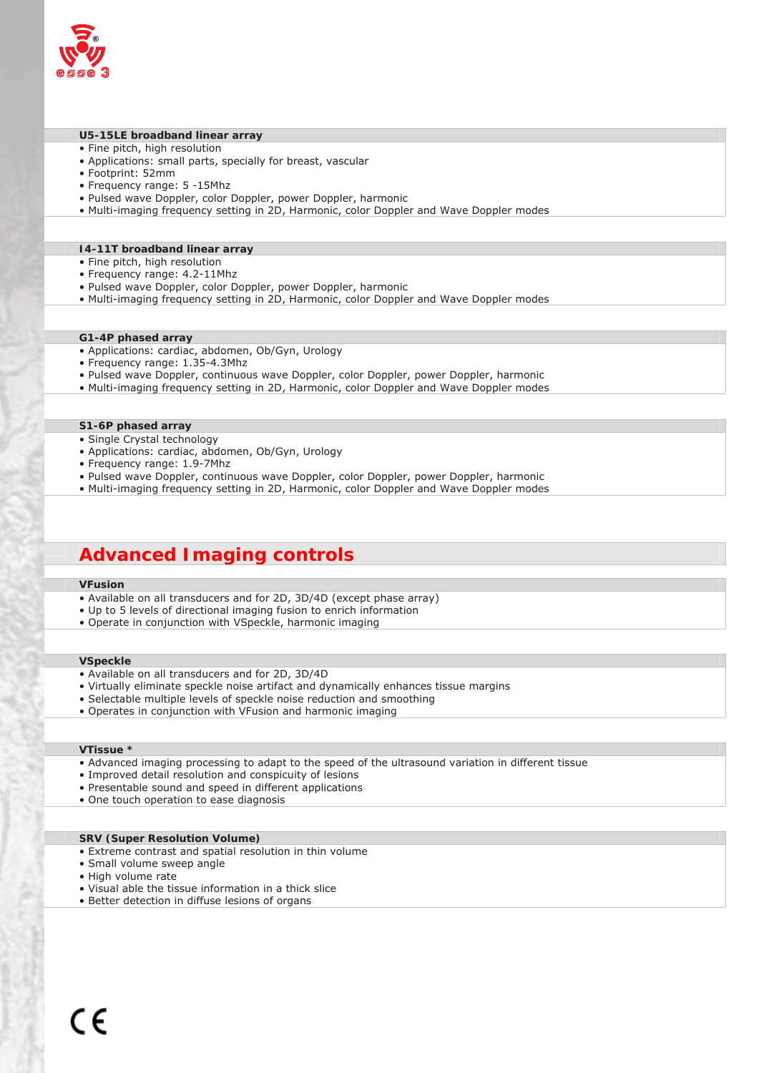

# **U5-15LE broadband linear array**

- Fine pitch, high resolution
- Applications: small parts, specially for breast, vascular
- Footprint: 52mm
- Frequency range: 5 -15Mhz
- Pulsed wave Doppler, color Doppler, power Doppler, harmonic
- Multi-imaging frequency setting in 2D, Harmonic, color Doppler and Wave Doppler modes

# **I4-11T broadband linear array**

- Fine pitch, high resolution
- Frequency range: 4.2-11Mhz
- Pulsed wave Doppler, color Doppler, power Doppler, harmonic
- Multi-imaging frequency setting in 2D, Harmonic, color Doppler and Wave Doppler modes

#### **G1-4P phased array**

- Applications: cardiac, abdomen, Ob/Gyn, Urology
- Frequency range: 1.35-4.3Mhz
- Pulsed wave Doppler, continuous wave Doppler, color Doppler, power Doppler, harmonic
- Multi-imaging frequency setting in 2D, Harmonic, color Doppler and Wave Doppler modes

#### **S1-6P phased array**

- Single Crystal technology
- Applications: cardiac, abdomen, Ob/Gyn, Urology
- Frequency range: 1.9-7Mhz
- Pulsed wave Doppler, continuous wave Doppler, color Doppler, power Doppler, harmonic
- Multi-imaging frequency setting in 2D, Harmonic, color Doppler and Wave Doppler modes

# **Advanced Imaging controls**

# **VFusion**

- Available on all transducers and for 2D, 3D/4D (except phase array)
- Up to 5 levels of directional imaging fusion to enrich information
- Operate in conjunction with VSpeckle, harmonic imaging

# **VSpeckle**

- Available on all transducers and for 2D, 3D/4D
- Virtually eliminate speckle noise artifact and dynamically enhances tissue margins
- Selectable multiple levels of speckle noise reduction and smoothing
- Operates in conjunction with VFusion and harmonic imaging

# **VTissue \***

- Advanced imaging processing to adapt to the speed of the ultrasound variation in different tissue
- Improved detail resolution and conspicuity of lesions
- Presentable sound and speed in different applications
- One touch operation to ease diagnosis

## **SRV (Super Resolution Volume)**

- Extreme contrast and spatial resolution in thin volume
- Small volume sweep angle
- High volume rate
- Visual able the tissue information in a thick slice
- Better detection in diffuse lesions of organs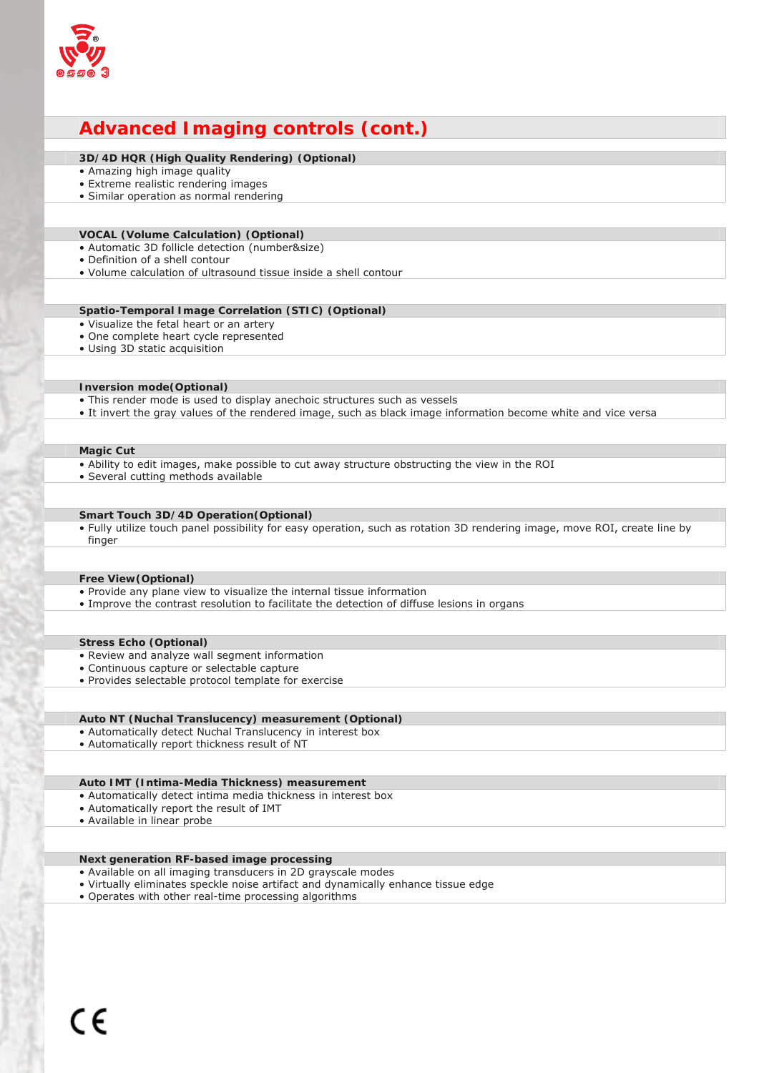

# **Advanced Imaging controls (cont.)**

# **3D/4D HQR (High Quality Rendering) (Optional)**

- Amazing high image quality
- Extreme realistic rendering images
- Similar operation as normal rendering

#### **VOCAL (Volume Calculation) (Optional)**

- Automatic 3D follicle detection (number&size)
- Definition of a shell contour
- Volume calculation of ultrasound tissue inside a shell contour

# **Spatio-Temporal Image Correlation (STIC) (Optional)**

- Visualize the fetal heart or an artery
- One complete heart cycle represented
- Using 3D static acquisition

# **Inversion mode(Optional)**

- This render mode is used to display anechoic structures such as vessels
- It invert the gray values of the rendered image, such as black image information become white and vice versa

# **Magic Cut**

- Ability to edit images, make possible to cut away structure obstructing the view in the ROI
- Several cutting methods available

# **Smart Touch 3D/4D Operation(Optional)**

• Fully utilize touch panel possibility for easy operation, such as rotation 3D rendering image, move ROI, create line by finger

# **Free View(Optional)**

- Provide any plane view to visualize the internal tissue information
- Improve the contrast resolution to facilitate the detection of diffuse lesions in organs

#### **Stress Echo (Optional)**

- Review and analyze wall segment information
- Continuous capture or selectable capture
- Provides selectable protocol template for exercise

# **Auto NT (Nuchal Translucency) measurement (Optional)**

- Automatically detect Nuchal Translucency in interest box
- Automatically report thickness result of NT

### **Auto IMT (Intima-Media Thickness) measurement**

- Automatically detect intima media thickness in interest box
- Automatically report the result of IMT
- Available in linear probe

# **Next generation RF-based image processing**

- Available on all imaging transducers in 2D grayscale modes
- Virtually eliminates speckle noise artifact and dynamically enhance tissue edge
- Operates with other real-time processing algorithms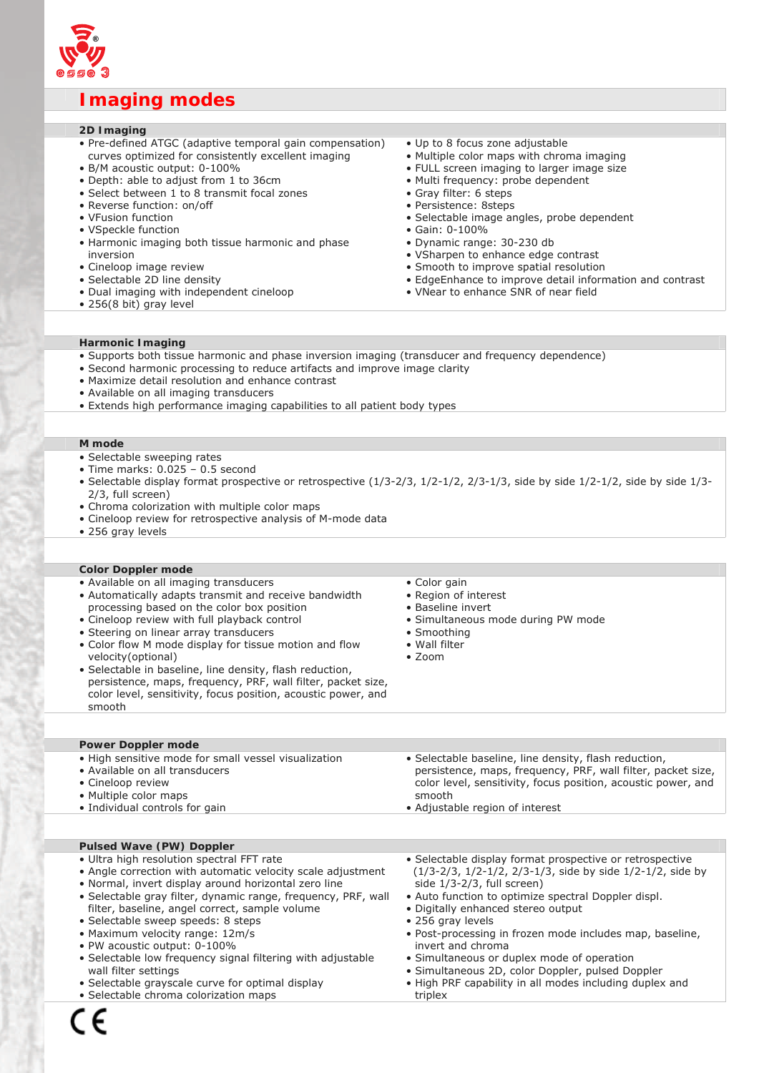

# **Imaging modes**

# **2D Imaging**

- Pre-defined ATGC (adaptive temporal gain compensation) curves optimized for consistently excellent imaging
- B/M acoustic output: 0-100%
- Depth: able to adjust from 1 to 36cm
- Select between 1 to 8 transmit focal zones
- Reverse function: on/off
- VFusion function
- VSpeckle function
- Harmonic imaging both tissue harmonic and phase inversion
- Cineloop image review
- Selectable 2D line density
- Dual imaging with independent cineloop
- 256(8 bit) gray level
- Up to 8 focus zone adjustable
- Multiple color maps with chroma imaging
- FULL screen imaging to larger image size
- Multi frequency: probe dependent
- Gray filter: 6 steps
- Persistence: 8steps
- Selectable image angles, probe dependent
- Gain: 0-100%
- Dynamic range: 30-230 db
- VSharpen to enhance edge contrast
- Smooth to improve spatial resolution
- EdgeEnhance to improve detail information and contrast
- VNear to enhance SNR of near field

# **Harmonic Imaging**

- Supports both tissue harmonic and phase inversion imaging (transducer and frequency dependence)
- Second harmonic processing to reduce artifacts and improve image clarity
- Maximize detail resolution and enhance contrast
- Available on all imaging transducers
- Extends high performance imaging capabilities to all patient body types

# **M mode**

- Selectable sweeping rates
- Time marks: 0.025 0.5 second
- Selectable display format prospective or retrospective (1/3-2/3, 1/2-1/2, 2/3-1/3, side by side 1/2-1/2, side by side 1/3- 2/3, full screen)
- Chroma colorization with multiple color maps
- Cineloop review for retrospective analysis of M-mode data
- 256 gray levels

#### **Color Doppler mode**

- Available on all imaging transducers
- Automatically adapts transmit and receive bandwidth processing based on the color box position
- Cineloop review with full playback control
- Steering on linear array transducers
- Color flow M mode display for tissue motion and flow velocity(optional)
- Selectable in baseline, line density, flash reduction, persistence, maps, frequency, PRF, wall filter, packet size, color level, sensitivity, focus position, acoustic power, and smooth
- Color gain
- Region of interest
- Baseline invert
- Simultaneous mode during PW mode
- Smoothing
- Wall filter
- Zoom

# **Power Doppler mode**

| • High sensitive mode for small vessel visualization | • Selectable baseline, line density, flash reduction,         |
|------------------------------------------------------|---------------------------------------------------------------|
| • Available on all transducers                       | persistence, maps, frequency, PRF, wall filter, packet size,  |
| • Cineloop review                                    | color level, sensitivity, focus position, acoustic power, and |
| • Multiple color maps                                | smooth                                                        |
| • Individual controls for gain                       | • Adjustable region of interest                               |
|                                                      |                                                               |

# **Pulsed Wave (PW) Doppler**

- Ultra high resolution spectral FFT rate
- Angle correction with automatic velocity scale adjustment • Normal, invert display around horizontal zero line
- 
- Selectable gray filter, dynamic range, frequency, PRF, wall filter, baseline, angel correct, sample volume
- Selectable sweep speeds: 8 steps
- Maximum velocity range: 12m/s
- PW acoustic output: 0-100%
- Selectable low frequency signal filtering with adjustable wall filter settings
- Selectable grayscale curve for optimal display
- Selectable chroma colorization maps
- Selectable display format prospective or retrospective (1/3-2/3, 1/2-1/2, 2/3-1/3, side by side 1/2-1/2, side by side 1/3-2/3, full screen)
- Auto function to optimize spectral Doppler displ. • Digitally enhanced stereo output
- 256 gray levels
- Post-processing in frozen mode includes map, baseline, invert and chroma
- Simultaneous or duplex mode of operation
- Simultaneous 2D, color Doppler, pulsed Doppler
- High PRF capability in all modes including duplex and
- triplex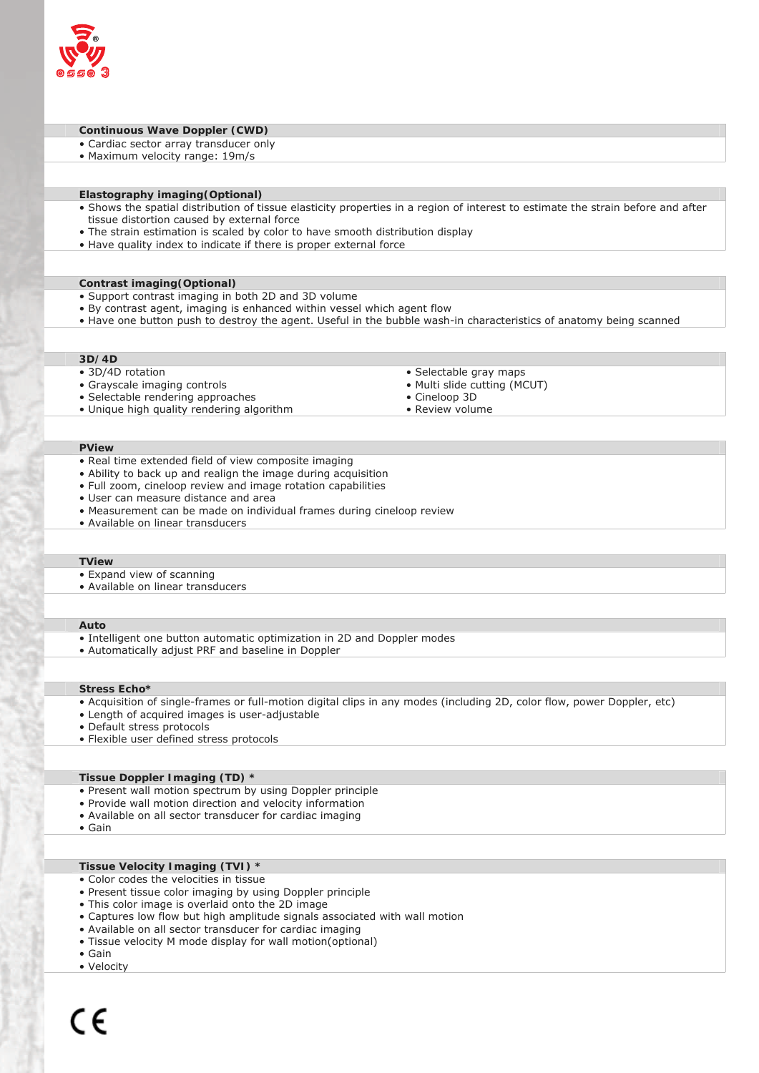

#### **Continuous Wave Doppler (CWD)**

- Cardiac sector array transducer only
- Maximum velocity range: 19m/s

#### **Elastography imaging(Optional)**

- Shows the spatial distribution of tissue elasticity properties in a region of interest to estimate the strain before and after tissue distortion caused by external force
- The strain estimation is scaled by color to have smooth distribution display
- Have quality index to indicate if there is proper external force

#### **Contrast imaging(Optional)**

- Support contrast imaging in both 2D and 3D volume
- By contrast agent, imaging is enhanced within vessel which agent flow
- Have one button push to destroy the agent. Useful in the bubble wash-in characteristics of anatomy being scanned

## **3D/4D**

- 3D/4D rotation
- Grayscale imaging controls
- Selectable rendering approaches
- Unique high quality rendering algorithm
- Selectable gray maps
- Multi slide cutting (MCUT) • Cineloop 3D
- Review volume
- 

# **PView**

- Real time extended field of view composite imaging
- Ability to back up and realign the image during acquisition
- Full zoom, cineloop review and image rotation capabilities
- User can measure distance and area
- Measurement can be made on individual frames during cineloop review
- Available on linear transducers

#### **TView**

- Expand view of scanning
- Available on linear transducers

#### **Auto**

- Intelligent one button automatic optimization in 2D and Doppler modes
- Automatically adjust PRF and baseline in Doppler

#### **Stress Echo\***

- Acquisition of single-frames or full-motion digital clips in any modes (including 2D, color flow, power Doppler, etc)
- Length of acquired images is user-adjustable
- Default stress protocols
- Flexible user defined stress protocols

#### **Tissue Doppler Imaging (TD) \***

- Present wall motion spectrum by using Doppler principle
- Provide wall motion direction and velocity information
- Available on all sector transducer for cardiac imaging
- Gain

#### **Tissue Velocity Imaging (TVI) \***

- Color codes the velocities in tissue
- Present tissue color imaging by using Doppler principle
- This color image is overlaid onto the 2D image
- Captures low flow but high amplitude signals associated with wall motion
- Available on all sector transducer for cardiac imaging
- Tissue velocity M mode display for wall motion(optional)
- Gain
- Velocity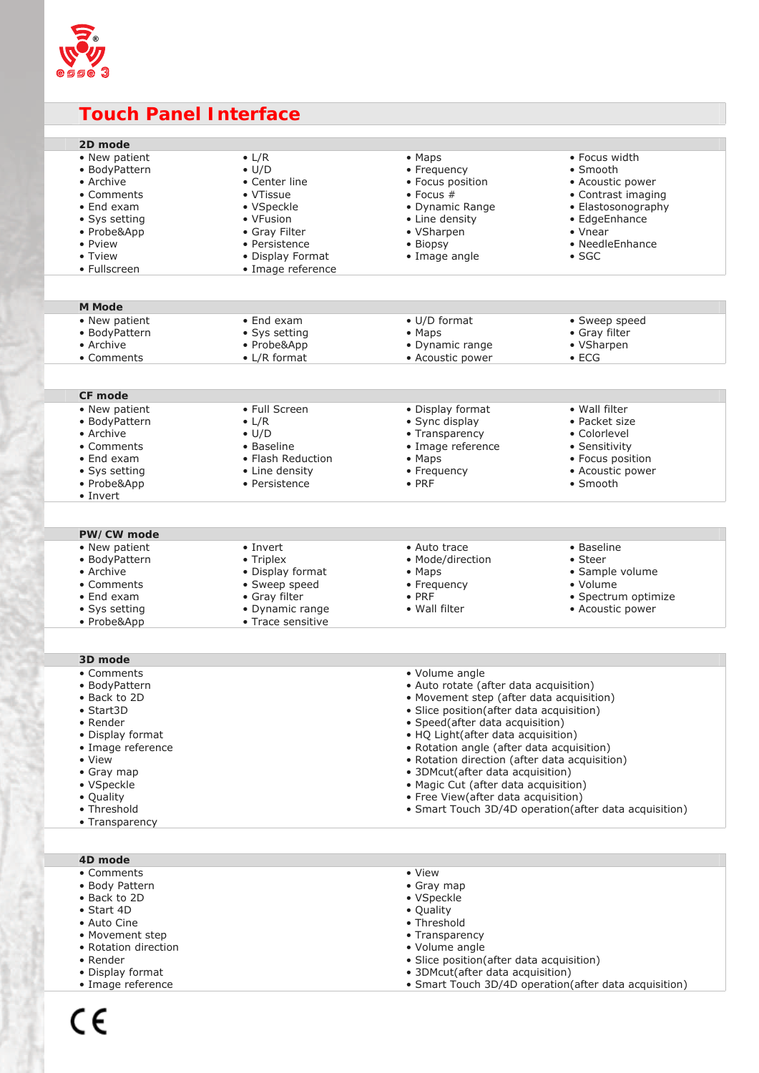

# **Touch Panel Interface**

| 2D mode            |                    |                                               |                                                       |
|--------------------|--------------------|-----------------------------------------------|-------------------------------------------------------|
| • New patient      | $\bullet$ L/R      | • Maps                                        | • Focus width                                         |
| • BodyPattern      | $\bullet$ U/D      | • Frequency                                   | • Smooth                                              |
| • Archive          | • Center line      | • Focus position                              | • Acoustic power                                      |
| • Comments         | • VTissue          | $\bullet$ Focus #                             | • Contrast imaging                                    |
| • End exam         | • VSpeckle         | • Dynamic Range                               | • Elastosonography                                    |
| • Sys setting      | • VFusion          | • Line density                                | • EdgeEnhance                                         |
| • Probe&App        | • Gray Filter      | • VSharpen                                    | $\bullet$ Vnear                                       |
| • Pview            | • Persistence      | • Biopsy                                      | • NeedleEnhance                                       |
| • Tview            | • Display Format   | • Image angle                                 | $\bullet$ SGC                                         |
| • Fullscreen       | • Image reference  |                                               |                                                       |
|                    |                    |                                               |                                                       |
|                    |                    |                                               |                                                       |
| <b>M</b> Mode      |                    |                                               |                                                       |
| • New patient      | $\bullet$ End exam | • U/D format                                  | • Sweep speed                                         |
| • BodyPattern      | • Sys setting      | • Maps                                        | • Gray filter                                         |
| • Archive          |                    |                                               |                                                       |
|                    | • Probe&App        | • Dynamic range                               | • VSharpen                                            |
| • Comments         | • L/R format       | • Acoustic power                              | $\bullet$ ECG                                         |
|                    |                    |                                               |                                                       |
| CF mode            |                    |                                               |                                                       |
| • New patient      | • Full Screen      |                                               | • Wall filter                                         |
|                    |                    | • Display format                              |                                                       |
| • BodyPattern      | $\bullet$ L/R      | • Sync display                                | • Packet size                                         |
| • Archive          | $\bullet$ U/D      | • Transparency                                | • Colorlevel                                          |
| • Comments         | • Baseline         | • Image reference                             | • Sensitivity                                         |
| • End exam         | • Flash Reduction  | $\bullet$ Maps                                | • Focus position                                      |
| • Sys setting      | • Line density     | • Frequency                                   | • Acoustic power                                      |
| • Probe&App        | • Persistence      | $\bullet$ PRF                                 | • Smooth                                              |
| • Invert           |                    |                                               |                                                       |
|                    |                    |                                               |                                                       |
|                    |                    |                                               |                                                       |
| PW/CW mode         |                    |                                               |                                                       |
| • New patient      | • Invert           | • Auto trace                                  | • Baseline                                            |
| • BodyPattern      | • Triplex          | • Mode/direction                              | $\bullet$ Steer                                       |
| • Archive          | • Display format   | $\bullet$ Maps                                | • Sample volume                                       |
| • Comments         | • Sweep speed      | • Frequency                                   | • Volume                                              |
| $\bullet$ End exam | • Gray filter      | $\bullet$ PRF                                 | · Spectrum optimize                                   |
| • Sys setting      | • Dynamic range    | • Wall filter                                 | • Acoustic power                                      |
| • Probe&App        | • Trace sensitive  |                                               |                                                       |
|                    |                    |                                               |                                                       |
|                    |                    |                                               |                                                       |
| 3D mode            |                    |                                               |                                                       |
| • Comments         |                    |                                               |                                                       |
|                    |                    | • Volume angle                                |                                                       |
| • BodyPattern      |                    |                                               |                                                       |
| • Back to 2D       |                    | · Auto rotate (after data acquisition)        |                                                       |
|                    |                    | • Movement step (after data acquisition)      |                                                       |
| • Start3D          |                    | · Slice position(after data acquisition)      |                                                       |
| • Render           |                    | • Speed (after data acquisition)              |                                                       |
| • Display format   |                    | • HQ Light(after data acquisition)            |                                                       |
| • Image reference  |                    | • Rotation angle (after data acquisition)     |                                                       |
| • View             |                    | • Rotation direction (after data acquisition) |                                                       |
| • Gray map         |                    | • 3DMcut(after data acquisition)              |                                                       |
| • VSpeckle         |                    | • Magic Cut (after data acquisition)          |                                                       |
| • Quality          |                    | • Free View(after data acquisition)           |                                                       |
| • Threshold        |                    |                                               | • Smart Touch 3D/4D operation(after data acquisition) |
| • Transparency     |                    |                                               |                                                       |
|                    |                    |                                               |                                                       |
| 4D mode            |                    |                                               |                                                       |
| • Comments         |                    | • View                                        |                                                       |
| • Body Pattern     |                    | • Gray map                                    |                                                       |
| • Back to 2D       |                    | • VSpeckle                                    |                                                       |
| $\bullet$ Start 4D |                    | • Quality                                     |                                                       |

- Movement step
- Rotation direction
- Render
- Display format
- Image reference

• Transparency

- 3DMcut(after data acquisition)
- Smart Touch 3D/4D operation(after data acquisition)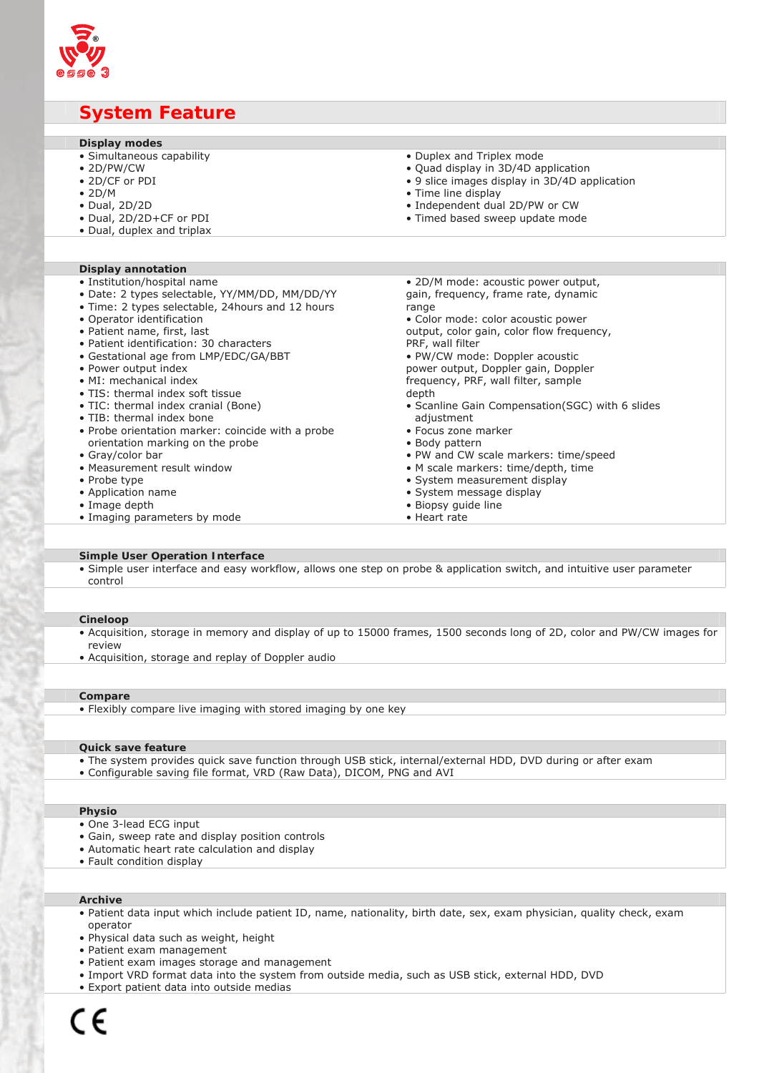

# **System Feature**

| Display modes                                                                                                       |  |
|---------------------------------------------------------------------------------------------------------------------|--|
|                                                                                                                     |  |
| · Simultaneous capability<br>• Duplex and Triplex mode                                                              |  |
| $\bullet$ 2D/PW/CW<br>· Quad display in 3D/4D application                                                           |  |
| • 2D/CF or PDI<br>• 9 slice images display in 3D/4D application                                                     |  |
| $\bullet$ 2D/M<br>• Time line display                                                                               |  |
| • Independent dual 2D/PW or CW<br>$\bullet$ Dual, 2D/2D                                                             |  |
| • Dual, 2D/2D+CF or PDI<br>• Timed based sweep update mode                                                          |  |
| • Dual, duplex and triplax                                                                                          |  |
|                                                                                                                     |  |
|                                                                                                                     |  |
| <b>Display annotation</b>                                                                                           |  |
| · Institution/hospital name<br>• 2D/M mode: acoustic power output,                                                  |  |
| • Date: 2 types selectable, YY/MM/DD, MM/DD/YY<br>gain, frequency, frame rate, dynamic                              |  |
| • Time: 2 types selectable, 24 hours and 12 hours<br>range                                                          |  |
| • Operator identification<br>• Color mode: color acoustic power                                                     |  |
| • Patient name, first, last<br>output, color gain, color flow frequency,<br>• Patient identification: 30 characters |  |
| PRF, wall filter<br>• PW/CW mode: Doppler acoustic<br>• Gestational age from LMP/EDC/GA/BBT                         |  |
| • Power output index<br>power output, Doppler gain, Doppler                                                         |  |
| • MI: mechanical index<br>frequency, PRF, wall filter, sample                                                       |  |
| • TIS: thermal index soft tissue<br>depth                                                                           |  |
| • TIC: thermal index cranial (Bone)<br>• Scanline Gain Compensation(SGC) with 6 slides                              |  |
| • TIB: thermal index bone<br>adjustment                                                                             |  |
| • Probe orientation marker: coincide with a probe<br>• Focus zone marker                                            |  |
| orientation marking on the probe<br>• Body pattern                                                                  |  |
| • Gray/color bar<br>. PW and CW scale markers: time/speed                                                           |  |
| • Measurement result window<br>• M scale markers: time/depth, time                                                  |  |
| • System measurement display<br>• Probe type                                                                        |  |
| • Application name<br>· System message display                                                                      |  |
| • Image depth<br>· Biopsy guide line                                                                                |  |
| • Imaging parameters by mode<br>• Heart rate                                                                        |  |

#### **Simple User Operation Interface**

• Simple user interface and easy workflow, allows one step on probe & application switch, and intuitive user parameter control

# **Cineloop**

- Acquisition, storage in memory and display of up to 15000 frames, 1500 seconds long of 2D, color and PW/CW images for review
- Acquisition, storage and replay of Doppler audio

#### **Compare**

• Flexibly compare live imaging with stored imaging by one key

# **Quick save feature**

- The system provides quick save function through USB stick, internal/external HDD, DVD during or after exam
- Configurable saving file format, VRD (Raw Data), DICOM, PNG and AVI

#### **Physio**

- One 3-lead ECG input
- Gain, sweep rate and display position controls
- Automatic heart rate calculation and display
- Fault condition display

# **Archive**

- Patient data input which include patient ID, name, nationality, birth date, sex, exam physician, quality check, exam operator
- Physical data such as weight, height
- Patient exam management
- Patient exam images storage and management
- Import VRD format data into the system from outside media, such as USB stick, external HDD, DVD
- Export patient data into outside medias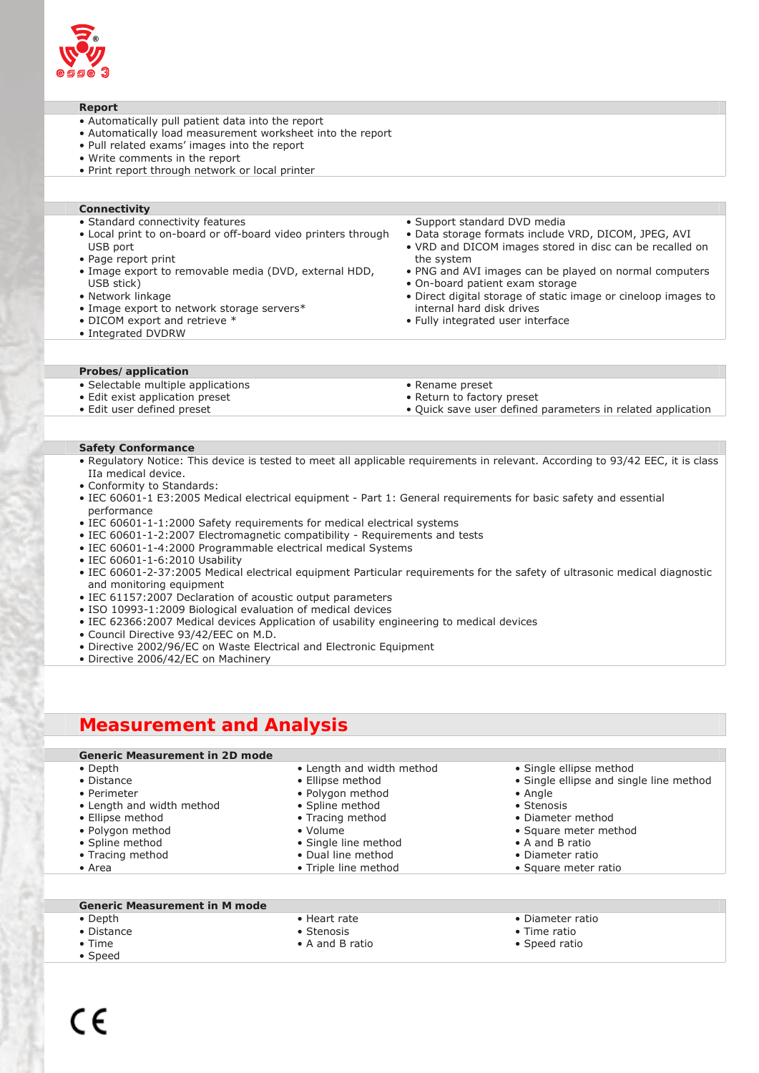

# **Report**

- Automatically pull patient data into the report
- Automatically load measurement worksheet into the report
- Pull related exams' images into the report
- Write comments in the report
- Print report through network or local printer

# **Connectivity**

- Standard connectivity features
- Local print to on-board or off-board video printers through USB port
- Page report print
- Image export to removable media (DVD, external HDD, USB stick)
- Network linkage
- Image export to network storage servers\*
- DICOM export and retrieve \*
- Integrated DVDRW
- Support standard DVD media • Data storage formats include VRD, DICOM, JPEG, AVI
- VRD and DICOM images stored in disc can be recalled on the system
- PNG and AVI images can be played on normal computers
- On-board patient exam storage • Direct digital storage of static image or cineloop images to
- internal hard disk drives
- Fully integrated user interface

#### **Probes/application**

- Selectable multiple applications
- Edit exist application preset
- Edit user defined preset
- Rename preset
- Return to factory preset
- Quick save user defined parameters in related application

#### **Safety Conformance**

- Regulatory Notice: This device is tested to meet all applicable requirements in relevant. According to 93/42 EEC, it is class IIa medical device.
- Conformity to Standards:
- IEC 60601-1 E3:2005 Medical electrical equipment Part 1: General requirements for basic safety and essential performance
- IEC 60601-1-1:2000 Safety requirements for medical electrical systems
- IEC 60601-1-2:2007 Electromagnetic compatibility Requirements and tests
- IEC 60601-1-4:2000 Programmable electrical medical Systems
- IEC 60601-1-6:2010 Usability
- IEC 60601-2-37:2005 Medical electrical equipment Particular requirements for the safety of ultrasonic medical diagnostic and monitoring equipment
- IEC 61157:2007 Declaration of acoustic output parameters
- ISO 10993-1:2009 Biological evaluation of medical devices
- IEC 62366:2007 Medical devices Application of usability engineering to medical devices
- Council Directive 93/42/EEC on M.D.
- Directive 2002/96/EC on Waste Electrical and Electronic Equipment
- Directive 2006/42/EC on Machinery

# **Measurement and Analysis**

# **Generic Measurement in 2D mode**

- Depth
- Distance
- Perimeter
- Length and width method
- Ellipse method
- Polygon method
- Spline method
- Tracing method
- Area
- Ellipse method
- Spline method
- 
- 
- 
- 
- 
- 
- Single ellipse method
- Single ellipse and single line method
- Angle
- Stenosis
- Diameter method
- Square meter method
- A and B ratio
- Diameter ratio
- Square meter ratio

# **Generic Measurement in M mode**

- Depth
- Distance
- Time
- Speed
- Heart rate • Stenosis
- A and B ratio
- 
- 
- Time ratio
	- Speed ratio
- Diameter ratio
	- -

• Polygon method

• Length and width method

- Tracing method
- Volume
- Single line method
- Dual line method
- Triple line method